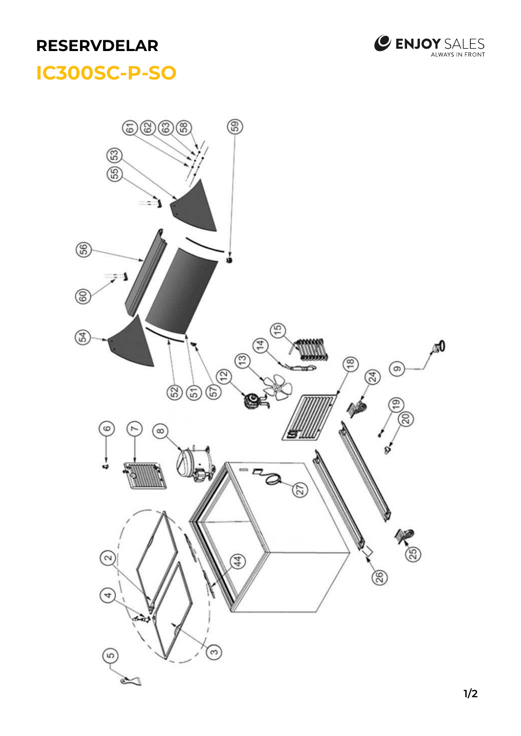## **RESERVDELAR**



## **SCUSC** F **IC300SC-P-SO**